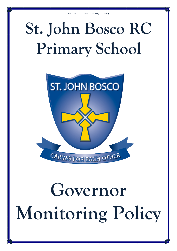## **St. John Bosco RC Primary School**



# **Governor Monitoring Policy**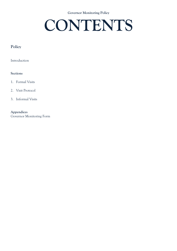#### **Governor Monitoring Policy**

### **CONTENTS**

#### **Policy**

Introduction

#### **Sections**

- 1. Formal Visits
- 2. Visit Protocol
- 3. Informal Visits

**Appendices**  Governor Monitoring Form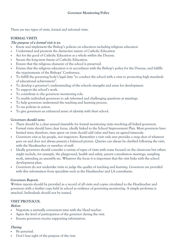There are two types of visits, formal and informal visits.

#### **FORMAL VISITS**

#### **The purpose of a formal visit is to:**

- Know and implement the Bishop's policies on education including religious education
- Understand and promote the distinctive nature of Catholic Education
- Act for the good of Catholic Education as a whole within the Diocese.
- Secure the long term future of Catholic Education.
- Ensure that the religious character of the school is preserved.
- Ensure that the religious education is in accordance with the Bishop's policy for the Diocese, and fulfills the requirements of the Bishops' Conference.
- To fulfill the governing body's legal duty "to conduct the school with a view to promoting high standards of educational achievement".
- To develop a governor's understanding of the schools strengths and areas for development.
- To support the school's work.
- To contribute to the governors monitoring role.
- To enable individual governors to ask informed and challenging questions at meetings.
- To help governors understand the teaching and learning process.
- To see policies in action.
- To give governors an enhanced sense of identity with their school.

#### **Governors should note:**

- There should be a clear annual timetable for formal monitoring visits involving all linked governors.
- Formal visits should have clear focus, ideally linked to the School Improvement Plan. Most governors have limited time; therefore, time spent on visits should add value and have an agreed timescale.
- Governors visit as lay people, not inspectors. Remember a visit only ever provides a snap shot of whatever goes on and does not always present a balanced picture. Queries can always be clarified following the visit, with the Headteacher or member of staff.
- Ideally governors should consider a variety of types of visits with some focused on the classroom but others might include, for example, the playground, health and safety, parent consultation meetings, sampling work, attending an assembly etc. Whatever the focus it is important that the visit links with the school development plan.
- Governors do not undertake visits to judge the quality of teaching and learning. Governors are provided with this information from specialists such as the Headteacher and LA consultants.

#### **Governors Reports**

Written reports should be provided as a record of all visits and copies circulated to the Headteacher and governors with a further copy held in school as evidence of governing monitoring. A simple proforma is attached. Individuals should not be named.

#### **VISIT PROTOCOL**

#### **Before**

- Negotiate a mutually convenient time with the Head teacher.
- Agree the level of participation of the governor during the visit.
- Ensure governors receive supporting information.

#### **During**

- Be punctual.
- Don't lose sight of the purpose of the visit.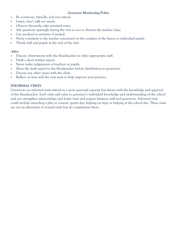#### **Governor Monitoring Policy**

- Be courteous, friendly, and not critical.
- Listen, don't talk too much.
- Observe discreetly, take minimal notes.
- Ask questions sparingly during the visit so not to distract the teacher/class.
- Get involved in activities if invited.
- Never comment to the teacher concerned on the conduct of the lesson or individual pupils.
- Thank staff and pupils at the end of the visit.

#### **After**

- Discuss observations with the Headteacher or other appropriate staff.
- Draft a short written report.
- Never make judgements of teachers or pupils.
- Show the draft report to the Headteacher before distribution to governors.
- Discuss any other issues with the chair.
- Reflect on how well the visit went to help improve your practice.

#### **INFORMAL VISITS**

Governors on informal visits attend in a more personal capacity but always with the knowledge and approval of the Headteacher. Such visits add value to governor's individual knowledge and understanding of the school and can strengthen relationships and foster trust and respect between staff and governors. Informal visits could include attending a play or concert, sports day, helping on trips or helping at the school fair. These visits are not an alternative to formal visits but do compliment them.